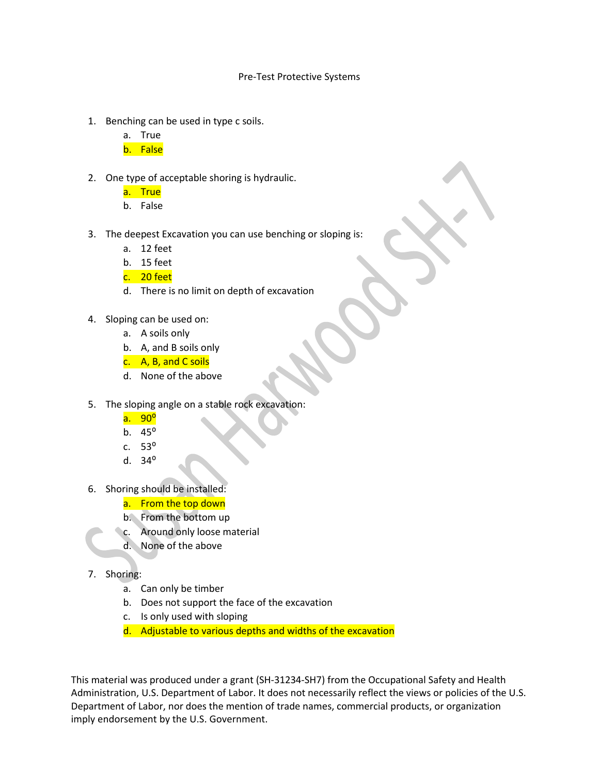## Pre-Test Protective Systems

- 1. Benching can be used in type c soils.
	- a. True
	- b. False
- 2. One type of acceptable shoring is hydraulic.
	- a. True
	- b. False
- 3. The deepest Excavation you can use benching or sloping is:
	- a. 12 feet
	- b. 15 feet
	- c. 20 feet
	- d. There is no limit on depth of excavation
- 4. Sloping can be used on:
	- a. A soils only
	- b. A, and B soils only
	- c. A, B, and C soils
	- d. None of the above
- 5. The sloping angle on a stable rock excavation:
	- a. 90<sup>o</sup>
	- b.  $45^{\circ}$
	- c.  $53^\circ$
	- d.  $34^{\circ}$
- 6. Shoring should be installed:
	- a. From the top down
	- b. From the bottom up
	- c. Around only loose material
		- d. None of the above

## 7. Shoring:

- a. Can only be timber
- b. Does not support the face of the excavation
- c. Is only used with sloping
- d. Adjustable to various depths and widths of the excavation

This material was produced under a grant (SH-31234-SH7) from the Occupational Safety and Health Administration, U.S. Department of Labor. It does not necessarily reflect the views or policies of the U.S. Department of Labor, nor does the mention of trade names, commercial products, or organization imply endorsement by the U.S. Government.